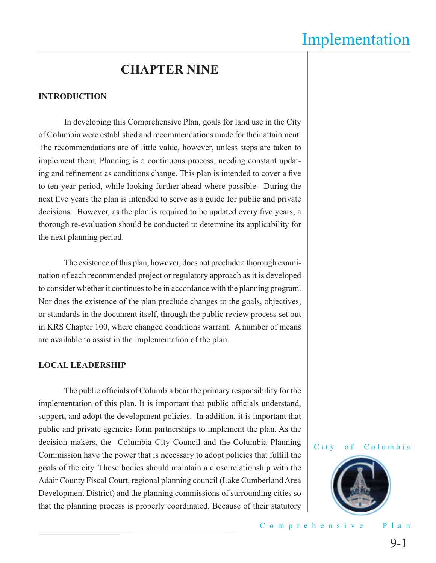## Implementation

## **CHAPTER NINE**

#### **INTRODUCTION**

 In developing this Comprehensive Plan, goals for land use in the City of Columbia were established and recommendations made for their attainment. The recommendations are of little value, however, unless steps are taken to implement them. Planning is a continuous process, needing constant updating and refinement as conditions change. This plan is intended to cover a five to ten year period, while looking further ahead where possible. During the next five years the plan is intended to serve as a guide for public and private decisions. However, as the plan is required to be updated every five years, a thorough re-evaluation should be conducted to determine its applicability for the next planning period.

 The existence of this plan, however, does not preclude a thorough examination of each recommended project or regulatory approach as it is developed to consider whether it continues to be in accordance with the planning program. Nor does the existence of the plan preclude changes to the goals, objectives, or standards in the document itself, through the public review process set out in KRS Chapter 100, where changed conditions warrant. A number of means are available to assist in the implementation of the plan.

#### **LOCAL LEADERSHIP**

The public officials of Columbia bear the primary responsibility for the implementation of this plan. It is important that public officials understand, support, and adopt the development policies. In addition, it is important that public and private agencies form partnerships to implement the plan. As the decision makers, the Columbia City Council and the Columbia Planning Commission have the power that is necessary to adopt policies that fulfill the goals of the city. These bodies should maintain a close relationship with the Adair County Fiscal Court, regional planning council (Lake Cumberland Area Development District) and the planning commissions of surrounding cities so that the planning process is properly coordinated. Because of their statutory





Comprehensive Plan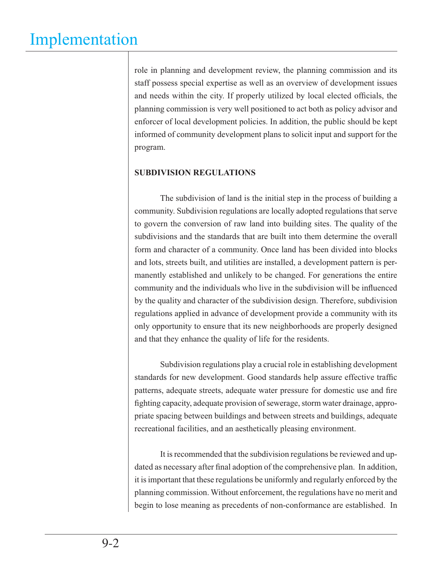role in planning and development review, the planning commission and its staff possess special expertise as well as an overview of development issues and needs within the city. If properly utilized by local elected officials, the planning commission is very well positioned to act both as policy advisor and enforcer of local development policies. In addition, the public should be kept informed of community development plans to solicit input and support for the program.

## **SUBDIVISION REGULATIONS**

 The subdivision of land is the initial step in the process of building a community. Subdivision regulations are locally adopted regulations that serve to govern the conversion of raw land into building sites. The quality of the subdivisions and the standards that are built into them determine the overall form and character of a community. Once land has been divided into blocks and lots, streets built, and utilities are installed, a development pattern is permanently established and unlikely to be changed. For generations the entire community and the individuals who live in the subdivision will be influenced by the quality and character of the subdivision design. Therefore, subdivision regulations applied in advance of development provide a community with its only opportunity to ensure that its new neighborhoods are properly designed and that they enhance the quality of life for the residents.

 Subdivision regulations play a crucial role in establishing development standards for new development. Good standards help assure effective traffic patterns, adequate streets, adequate water pressure for domestic use and fire fighting capacity, adequate provision of sewerage, storm water drainage, appropriate spacing between buildings and between streets and buildings, adequate recreational facilities, and an aesthetically pleasing environment.

 It is recommended that the subdivision regulations be reviewed and updated as necessary after final adoption of the comprehensive plan. In addition, it is important that these regulations be uniformly and regularly enforced by the planning commission. Without enforcement, the regulations have no merit and begin to lose meaning as precedents of non-conformance are established. In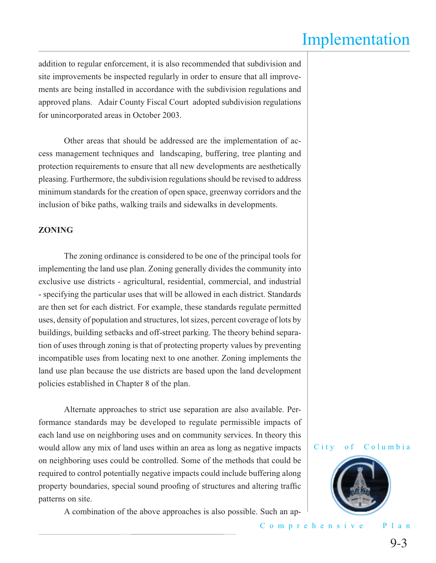## Implementation

addition to regular enforcement, it is also recommended that subdivision and site improvements be inspected regularly in order to ensure that all improvements are being installed in accordance with the subdivision regulations and approved plans. Adair County Fiscal Court adopted subdivision regulations for unincorporated areas in October 2003.

 Other areas that should be addressed are the implementation of access management techniques and landscaping, buffering, tree planting and protection requirements to ensure that all new developments are aesthetically pleasing. Furthermore, the subdivision regulations should be revised to address minimum standards for the creation of open space, greenway corridors and the inclusion of bike paths, walking trails and sidewalks in developments.

#### **ZONING**

 The zoning ordinance is considered to be one of the principal tools for implementing the land use plan. Zoning generally divides the community into exclusive use districts - agricultural, residential, commercial, and industrial - specifying the particular uses that will be allowed in each district. Standards are then set for each district. For example, these standards regulate permitted uses, density of population and structures, lot sizes, percent coverage of lots by buildings, building setbacks and off-street parking. The theory behind separation of uses through zoning is that of protecting property values by preventing incompatible uses from locating next to one another. Zoning implements the land use plan because the use districts are based upon the land development policies established in Chapter 8 of the plan.

 Alternate approaches to strict use separation are also available. Performance standards may be developed to regulate permissible impacts of each land use on neighboring uses and on community services. In theory this would allow any mix of land uses within an area as long as negative impacts on neighboring uses could be controlled. Some of the methods that could be required to control potentially negative impacts could include buffering along property boundaries, special sound proofing of structures and altering traffic patterns on site.

A combination of the above approaches is also possible. Such an ap-





Comprehensive Plan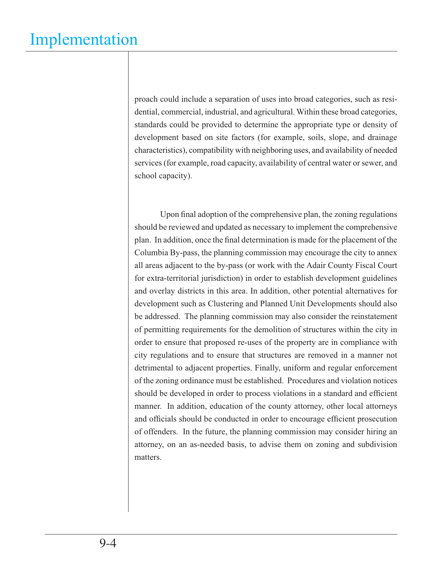proach could include a separation of uses into broad categories, such as residential, commercial, industrial, and agricultural. Within these broad categories, standards could be provided to determine the appropriate type or density of development based on site factors (for example, soils, slope, and drainage characteristics), compatibility with neighboring uses, and availability of needed services (for example, road capacity, availability of central water or sewer, and school capacity).

Upon final adoption of the comprehensive plan, the zoning regulations should be reviewed and updated as necessary to implement the comprehensive plan. In addition, once the final determination is made for the placement of the Columbia By-pass, the planning commission may encourage the city to annex all areas adjacent to the by-pass (or work with the Adair County Fiscal Court for extra-territorial jurisdiction) in order to establish development guidelines and overlay districts in this area. In addition, other potential alternatives for development such as Clustering and Planned Unit Developments should also be addressed. The planning commission may also consider the reinstatement of permitting requirements for the demolition of structures within the city in order to ensure that proposed re-uses of the property are in compliance with city regulations and to ensure that structures are removed in a manner not detrimental to adjacent properties. Finally, uniform and regular enforcement of the zoning ordinance must be established. Procedures and violation notices should be developed in order to process violations in a standard and efficient manner. In addition, education of the county attorney, other local attorneys and officials should be conducted in order to encourage efficient prosecution of offenders. In the future, the planning commission may consider hiring an attorney, on an as-needed basis, to advise them on zoning and subdivision matters.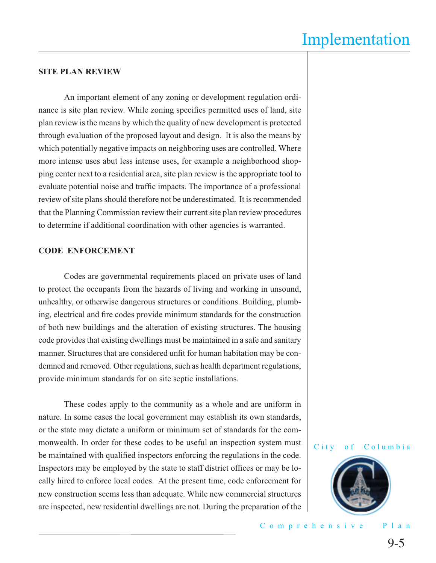### **SITE PLAN REVIEW**

 An important element of any zoning or development regulation ordinance is site plan review. While zoning specifies permitted uses of land, site plan review is the means by which the quality of new development is protected through evaluation of the proposed layout and design. It is also the means by which potentially negative impacts on neighboring uses are controlled. Where more intense uses abut less intense uses, for example a neighborhood shopping center next to a residential area, site plan review is the appropriate tool to evaluate potential noise and traffic impacts. The importance of a professional review of site plans should therefore not be underestimated. It is recommended that the Planning Commission review their current site plan review procedures to determine if additional coordination with other agencies is warranted.

#### **CODE ENFORCEMENT**

 Codes are governmental requirements placed on private uses of land to protect the occupants from the hazards of living and working in unsound, unhealthy, or otherwise dangerous structures or conditions. Building, plumbing, electrical and fire codes provide minimum standards for the construction of both new buildings and the alteration of existing structures. The housing code provides that existing dwellings must be maintained in a safe and sanitary manner. Structures that are considered unfit for human habitation may be condemned and removed. Other regulations, such as health department regulations, provide minimum standards for on site septic installations.

 These codes apply to the community as a whole and are uniform in nature. In some cases the local government may establish its own standards, or the state may dictate a uniform or minimum set of standards for the commonwealth. In order for these codes to be useful an inspection system must be maintained with qualified inspectors enforcing the regulations in the code. Inspectors may be employed by the state to staff district offices or may be locally hired to enforce local codes. At the present time, code enforcement for new construction seems less than adequate. While new commercial structures are inspected, new residential dwellings are not. During the preparation of the





Comprehensive Plan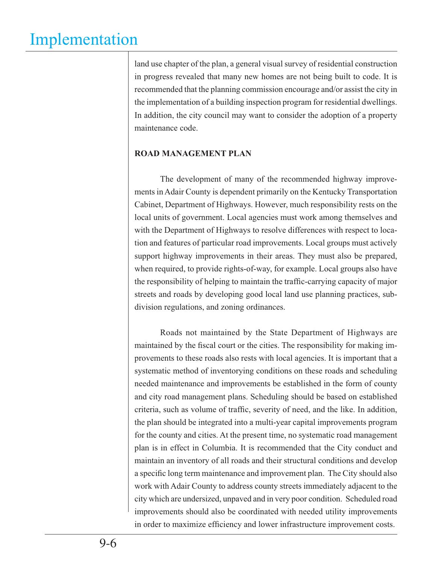# Implementation

land use chapter of the plan, a general visual survey of residential construction in progress revealed that many new homes are not being built to code. It is recommended that the planning commission encourage and/or assist the city in the implementation of a building inspection program for residential dwellings. In addition, the city council may want to consider the adoption of a property maintenance code.

### **ROAD MANAGEMENT PLAN**

 The development of many of the recommended highway improvements in Adair County is dependent primarily on the Kentucky Transportation Cabinet, Department of Highways. However, much responsibility rests on the local units of government. Local agencies must work among themselves and with the Department of Highways to resolve differences with respect to location and features of particular road improvements. Local groups must actively support highway improvements in their areas. They must also be prepared, when required, to provide rights-of-way, for example. Local groups also have the responsibility of helping to maintain the traffic-carrying capacity of major streets and roads by developing good local land use planning practices, subdivision regulations, and zoning ordinances.

 Roads not maintained by the State Department of Highways are maintained by the fiscal court or the cities. The responsibility for making improvements to these roads also rests with local agencies. It is important that a systematic method of inventorying conditions on these roads and scheduling needed maintenance and improvements be established in the form of county and city road management plans. Scheduling should be based on established criteria, such as volume of traffic, severity of need, and the like. In addition, the plan should be integrated into a multi-year capital improvements program for the county and cities. At the present time, no systematic road management plan is in effect in Columbia. It is recommended that the City conduct and maintain an inventory of all roads and their structural conditions and develop a specific long term maintenance and improvement plan. The City should also work with Adair County to address county streets immediately adjacent to the city which are undersized, unpaved and in very poor condition. Scheduled road improvements should also be coordinated with needed utility improvements in order to maximize efficiency and lower infrastructure improvement costs.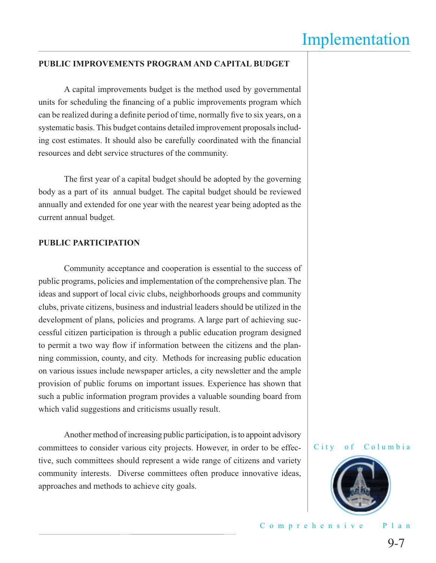#### **PUBLIC IMPROVEMENTS PROGRAM AND CAPITAL BUDGET**

 A capital improvements budget is the method used by governmental units for scheduling the financing of a public improvements program which can be realized during a definite period of time, normally five to six years, on a systematic basis. This budget contains detailed improvement proposals including cost estimates. It should also be carefully coordinated with the financial resources and debt service structures of the community.

The first year of a capital budget should be adopted by the governing body as a part of its annual budget. The capital budget should be reviewed annually and extended for one year with the nearest year being adopted as the current annual budget.

#### **PUBLIC PARTICIPATION**

 Community acceptance and cooperation is essential to the success of public programs, policies and implementation of the comprehensive plan. The ideas and support of local civic clubs, neighborhoods groups and community clubs, private citizens, business and industrial leaders should be utilized in the development of plans, policies and programs. A large part of achieving successful citizen participation is through a public education program designed to permit a two way flow if information between the citizens and the planning commission, county, and city. Methods for increasing public education on various issues include newspaper articles, a city newsletter and the ample provision of public forums on important issues. Experience has shown that such a public information program provides a valuable sounding board from which valid suggestions and criticisms usually result.

 Another method of increasing public participation, is to appoint advisory committees to consider various city projects. However, in order to be effective, such committees should represent a wide range of citizens and variety community interests. Diverse committees often produce innovative ideas, approaches and methods to achieve city goals.

#### City of Columbia